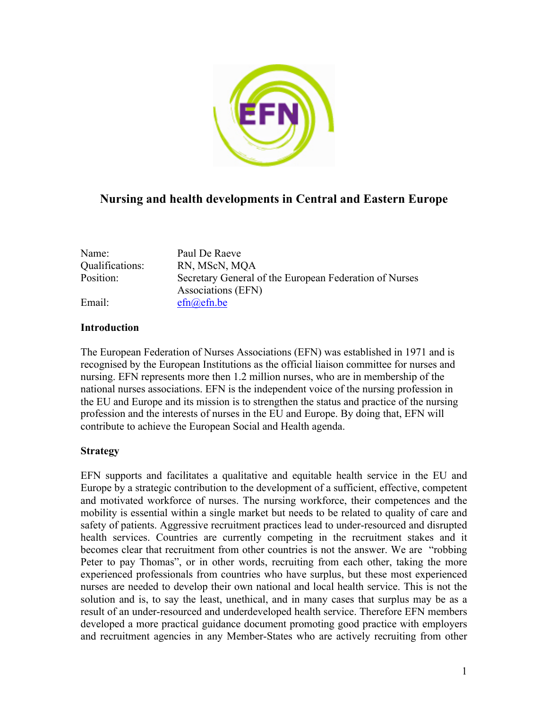

# **Nursing and health developments in Central and Eastern Europe**

| Name:           | Paul De Raeve                                          |
|-----------------|--------------------------------------------------------|
| Qualifications: | RN, MScN, MQA                                          |
| Position:       | Secretary General of the European Federation of Nurses |
|                 | Associations (EFN)                                     |
| Email:          | efn(a)efn.be                                           |

# **Introduction**

The European Federation of Nurses Associations (EFN) was established in 1971 and is recognised by the European Institutions as the official liaison committee for nurses and nursing. EFN represents more then 1.2 million nurses, who are in membership of the national nurses associations. EFN is the independent voice of the nursing profession in the EU and Europe and its mission is to strengthen the status and practice of the nursing profession and the interests of nurses in the EU and Europe. By doing that, EFN will contribute to achieve the European Social and Health agenda.

### **Strategy**

EFN supports and facilitates a qualitative and equitable health service in the EU and Europe by a strategic contribution to the development of a sufficient, effective, competent and motivated workforce of nurses. The nursing workforce, their competences and the mobility is essential within a single market but needs to be related to quality of care and safety of patients. Aggressive recruitment practices lead to under-resourced and disrupted health services. Countries are currently competing in the recruitment stakes and it becomes clear that recruitment from other countries is not the answer. We are "robbing Peter to pay Thomas", or in other words, recruiting from each other, taking the more experienced professionals from countries who have surplus, but these most experienced nurses are needed to develop their own national and local health service. This is not the solution and is, to say the least, unethical, and in many cases that surplus may be as a result of an under-resourced and underdeveloped health service. Therefore EFN members developed a more practical guidance document promoting good practice with employers and recruitment agencies in any Member-States who are actively recruiting from other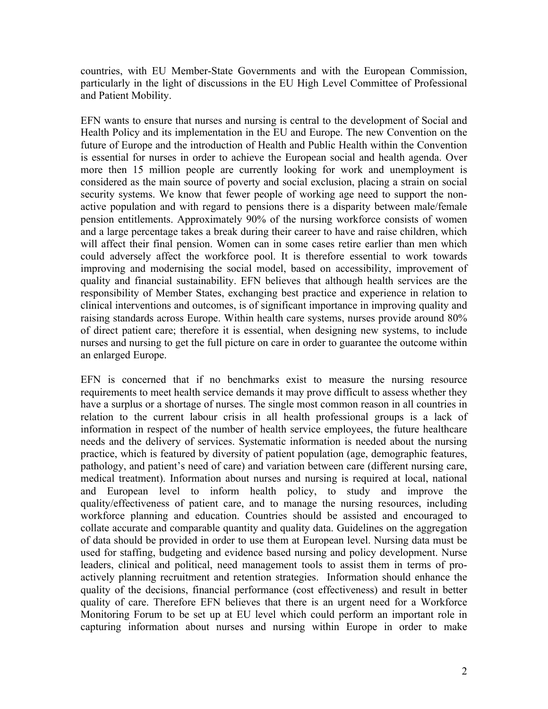countries, with EU Member-State Governments and with the European Commission, particularly in the light of discussions in the EU High Level Committee of Professional and Patient Mobility.

EFN wants to ensure that nurses and nursing is central to the development of Social and Health Policy and its implementation in the EU and Europe. The new Convention on the future of Europe and the introduction of Health and Public Health within the Convention is essential for nurses in order to achieve the European social and health agenda. Over more then 15 million people are currently looking for work and unemployment is considered as the main source of poverty and social exclusion, placing a strain on social security systems. We know that fewer people of working age need to support the nonactive population and with regard to pensions there is a disparity between male/female pension entitlements. Approximately 90% of the nursing workforce consists of women and a large percentage takes a break during their career to have and raise children, which will affect their final pension. Women can in some cases retire earlier than men which could adversely affect the workforce pool. It is therefore essential to work towards improving and modernising the social model, based on accessibility, improvement of quality and financial sustainability. EFN believes that although health services are the responsibility of Member States, exchanging best practice and experience in relation to clinical interventions and outcomes, is of significant importance in improving quality and raising standards across Europe. Within health care systems, nurses provide around 80% of direct patient care; therefore it is essential, when designing new systems, to include nurses and nursing to get the full picture on care in order to guarantee the outcome within an enlarged Europe.

EFN is concerned that if no benchmarks exist to measure the nursing resource requirements to meet health service demands it may prove difficult to assess whether they have a surplus or a shortage of nurses. The single most common reason in all countries in relation to the current labour crisis in all health professional groups is a lack of information in respect of the number of health service employees, the future healthcare needs and the delivery of services. Systematic information is needed about the nursing practice, which is featured by diversity of patient population (age, demographic features, pathology, and patient's need of care) and variation between care (different nursing care, medical treatment). Information about nurses and nursing is required at local, national and European level to inform health policy, to study and improve the quality/effectiveness of patient care, and to manage the nursing resources, including workforce planning and education. Countries should be assisted and encouraged to collate accurate and comparable quantity and quality data. Guidelines on the aggregation of data should be provided in order to use them at European level. Nursing data must be used for staffing, budgeting and evidence based nursing and policy development. Nurse leaders, clinical and political, need management tools to assist them in terms of proactively planning recruitment and retention strategies. Information should enhance the quality of the decisions, financial performance (cost effectiveness) and result in better quality of care. Therefore EFN believes that there is an urgent need for a Workforce Monitoring Forum to be set up at EU level which could perform an important role in capturing information about nurses and nursing within Europe in order to make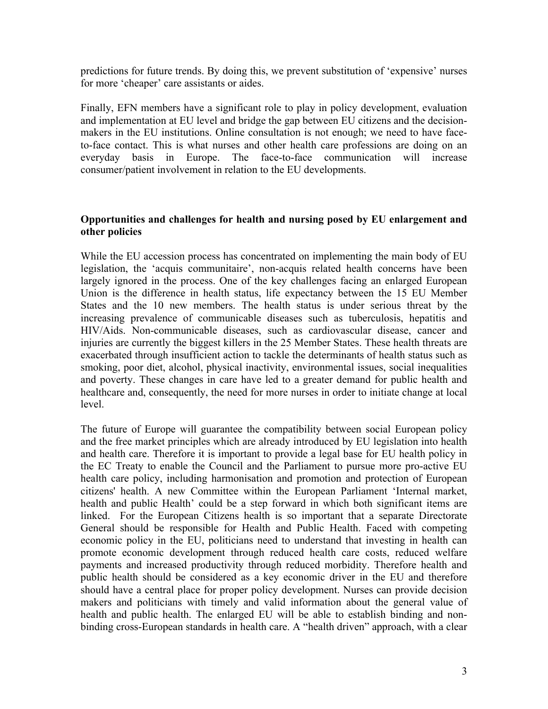predictions for future trends. By doing this, we prevent substitution of 'expensive' nurses for more 'cheaper' care assistants or aides.

Finally, EFN members have a significant role to play in policy development, evaluation and implementation at EU level and bridge the gap between EU citizens and the decisionmakers in the EU institutions. Online consultation is not enough; we need to have faceto-face contact. This is what nurses and other health care professions are doing on an everyday basis in Europe. The face-to-face communication will increase consumer/patient involvement in relation to the EU developments.

# **Opportunities and challenges for health and nursing posed by EU enlargement and other policies**

While the EU accession process has concentrated on implementing the main body of EU legislation, the 'acquis communitaire', non-acquis related health concerns have been largely ignored in the process. One of the key challenges facing an enlarged European Union is the difference in health status, life expectancy between the 15 EU Member States and the 10 new members. The health status is under serious threat by the increasing prevalence of communicable diseases such as tuberculosis, hepatitis and HIV/Aids. Non-communicable diseases, such as cardiovascular disease, cancer and injuries are currently the biggest killers in the 25 Member States. These health threats are exacerbated through insufficient action to tackle the determinants of health status such as smoking, poor diet, alcohol, physical inactivity, environmental issues, social inequalities and poverty. These changes in care have led to a greater demand for public health and healthcare and, consequently, the need for more nurses in order to initiate change at local level.

The future of Europe will guarantee the compatibility between social European policy and the free market principles which are already introduced by EU legislation into health and health care. Therefore it is important to provide a legal base for EU health policy in the EC Treaty to enable the Council and the Parliament to pursue more pro-active EU health care policy, including harmonisation and promotion and protection of European citizens' health. A new Committee within the European Parliament 'Internal market, health and public Health' could be a step forward in which both significant items are linked. For the European Citizens health is so important that a separate Directorate General should be responsible for Health and Public Health. Faced with competing economic policy in the EU, politicians need to understand that investing in health can promote economic development through reduced health care costs, reduced welfare payments and increased productivity through reduced morbidity. Therefore health and public health should be considered as a key economic driver in the EU and therefore should have a central place for proper policy development. Nurses can provide decision makers and politicians with timely and valid information about the general value of health and public health. The enlarged EU will be able to establish binding and nonbinding cross-European standards in health care. A "health driven" approach, with a clear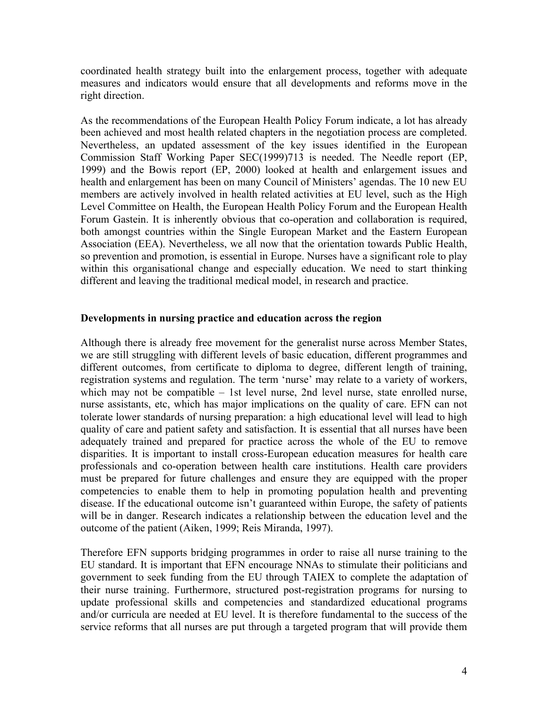coordinated health strategy built into the enlargement process, together with adequate measures and indicators would ensure that all developments and reforms move in the right direction.

As the recommendations of the European Health Policy Forum indicate, a lot has already been achieved and most health related chapters in the negotiation process are completed. Nevertheless, an updated assessment of the key issues identified in the European Commission Staff Working Paper SEC(1999)713 is needed. The Needle report (EP, 1999) and the Bowis report (EP, 2000) looked at health and enlargement issues and health and enlargement has been on many Council of Ministers' agendas. The 10 new EU members are actively involved in health related activities at EU level, such as the High Level Committee on Health, the European Health Policy Forum and the European Health Forum Gastein. It is inherently obvious that co-operation and collaboration is required, both amongst countries within the Single European Market and the Eastern European Association (EEA). Nevertheless, we all now that the orientation towards Public Health, so prevention and promotion, is essential in Europe. Nurses have a significant role to play within this organisational change and especially education. We need to start thinking different and leaving the traditional medical model, in research and practice.

### **Developments in nursing practice and education across the region**

Although there is already free movement for the generalist nurse across Member States, we are still struggling with different levels of basic education, different programmes and different outcomes, from certificate to diploma to degree, different length of training, registration systems and regulation. The term 'nurse' may relate to a variety of workers, which may not be compatible – 1st level nurse, 2nd level nurse, state enrolled nurse, nurse assistants, etc, which has major implications on the quality of care. EFN can not tolerate lower standards of nursing preparation: a high educational level will lead to high quality of care and patient safety and satisfaction. It is essential that all nurses have been adequately trained and prepared for practice across the whole of the EU to remove disparities. It is important to install cross-European education measures for health care professionals and co-operation between health care institutions. Health care providers must be prepared for future challenges and ensure they are equipped with the proper competencies to enable them to help in promoting population health and preventing disease. If the educational outcome isn't guaranteed within Europe, the safety of patients will be in danger. Research indicates a relationship between the education level and the outcome of the patient (Aiken, 1999; Reis Miranda, 1997).

Therefore EFN supports bridging programmes in order to raise all nurse training to the EU standard. It is important that EFN encourage NNAs to stimulate their politicians and government to seek funding from the EU through TAIEX to complete the adaptation of their nurse training. Furthermore, structured post-registration programs for nursing to update professional skills and competencies and standardized educational programs and/or curricula are needed at EU level. It is therefore fundamental to the success of the service reforms that all nurses are put through a targeted program that will provide them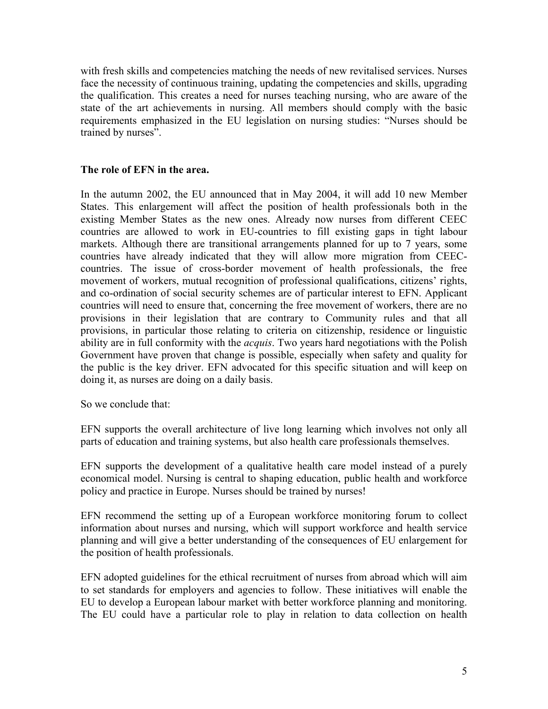with fresh skills and competencies matching the needs of new revitalised services. Nurses face the necessity of continuous training, updating the competencies and skills, upgrading the qualification. This creates a need for nurses teaching nursing, who are aware of the state of the art achievements in nursing. All members should comply with the basic requirements emphasized in the EU legislation on nursing studies: "Nurses should be trained by nurses".

# **The role of EFN in the area.**

In the autumn 2002, the EU announced that in May 2004, it will add 10 new Member States. This enlargement will affect the position of health professionals both in the existing Member States as the new ones. Already now nurses from different CEEC countries are allowed to work in EU-countries to fill existing gaps in tight labour markets. Although there are transitional arrangements planned for up to 7 years, some countries have already indicated that they will allow more migration from CEECcountries. The issue of cross-border movement of health professionals, the free movement of workers, mutual recognition of professional qualifications, citizens' rights, and co-ordination of social security schemes are of particular interest to EFN. Applicant countries will need to ensure that, concerning the free movement of workers, there are no provisions in their legislation that are contrary to Community rules and that all provisions, in particular those relating to criteria on citizenship, residence or linguistic ability are in full conformity with the *acquis*. Two years hard negotiations with the Polish Government have proven that change is possible, especially when safety and quality for the public is the key driver. EFN advocated for this specific situation and will keep on doing it, as nurses are doing on a daily basis.

So we conclude that:

EFN supports the overall architecture of live long learning which involves not only all parts of education and training systems, but also health care professionals themselves.

EFN supports the development of a qualitative health care model instead of a purely economical model. Nursing is central to shaping education, public health and workforce policy and practice in Europe. Nurses should be trained by nurses!

EFN recommend the setting up of a European workforce monitoring forum to collect information about nurses and nursing, which will support workforce and health service planning and will give a better understanding of the consequences of EU enlargement for the position of health professionals.

EFN adopted guidelines for the ethical recruitment of nurses from abroad which will aim to set standards for employers and agencies to follow. These initiatives will enable the EU to develop a European labour market with better workforce planning and monitoring. The EU could have a particular role to play in relation to data collection on health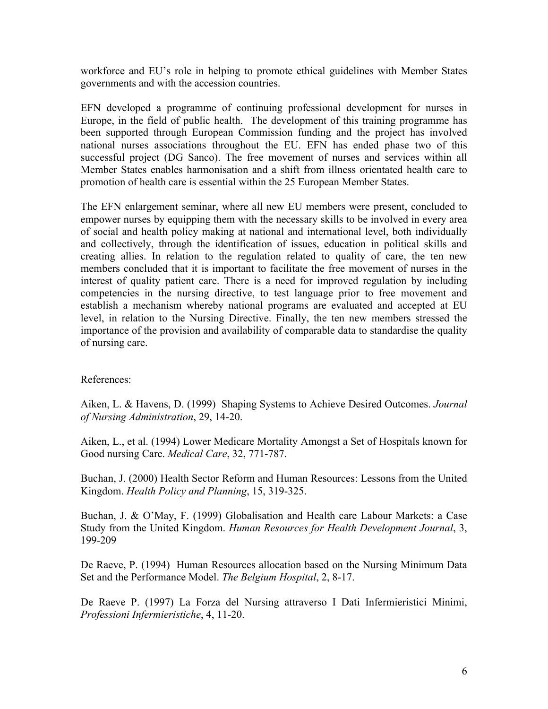workforce and EU's role in helping to promote ethical guidelines with Member States governments and with the accession countries.

EFN developed a programme of continuing professional development for nurses in Europe, in the field of public health. The development of this training programme has been supported through European Commission funding and the project has involved national nurses associations throughout the EU. EFN has ended phase two of this successful project (DG Sanco). The free movement of nurses and services within all Member States enables harmonisation and a shift from illness orientated health care to promotion of health care is essential within the 25 European Member States.

The EFN enlargement seminar, where all new EU members were present, concluded to empower nurses by equipping them with the necessary skills to be involved in every area of social and health policy making at national and international level, both individually and collectively, through the identification of issues, education in political skills and creating allies. In relation to the regulation related to quality of care, the ten new members concluded that it is important to facilitate the free movement of nurses in the interest of quality patient care. There is a need for improved regulation by including competencies in the nursing directive, to test language prior to free movement and establish a mechanism whereby national programs are evaluated and accepted at EU level, in relation to the Nursing Directive. Finally, the ten new members stressed the importance of the provision and availability of comparable data to standardise the quality of nursing care.

### References:

Aiken, L. & Havens, D. (1999) Shaping Systems to Achieve Desired Outcomes. *Journal of Nursing Administration*, 29, 14-20.

Aiken, L., et al. (1994) Lower Medicare Mortality Amongst a Set of Hospitals known for Good nursing Care. *Medical Care*, 32, 771-787.

Buchan, J. (2000) Health Sector Reform and Human Resources: Lessons from the United Kingdom. *Health Policy and Planning*, 15, 319-325.

Buchan, J. & O'May, F. (1999) Globalisation and Health care Labour Markets: a Case Study from the United Kingdom. *Human Resources for Health Development Journal*, 3, 199-209

De Raeve, P. (1994) Human Resources allocation based on the Nursing Minimum Data Set and the Performance Model. *The Belgium Hospital*, 2, 8-17.

De Raeve P. (1997) La Forza del Nursing attraverso I Dati Infermieristici Minimi, *Professioni Infermieristiche*, 4, 11-20.